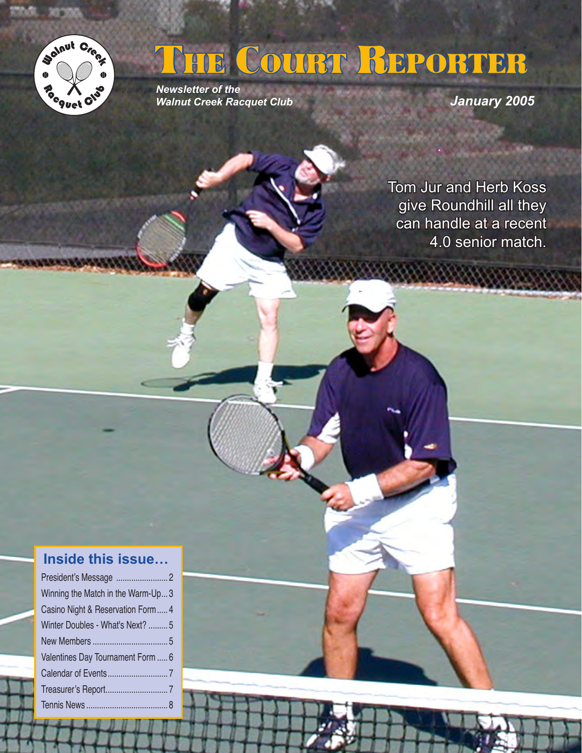

# THE COURT REPORTER

*Newsletter of the Walnut Creek Racquet Club*

*January 2005*

Tom Jur and Herb Koss give Roundhill all they can handle at a recent 4.0 senior match.

888888

# **Inside this issue…**

| Winning the Match in the Warm-Up3 |  |
|-----------------------------------|--|
| Casino Night & Reservation Form 4 |  |
| Winter Doubles - What's Next?  5  |  |
|                                   |  |
| Valentines Day Tournament Form  6 |  |
|                                   |  |
|                                   |  |
|                                   |  |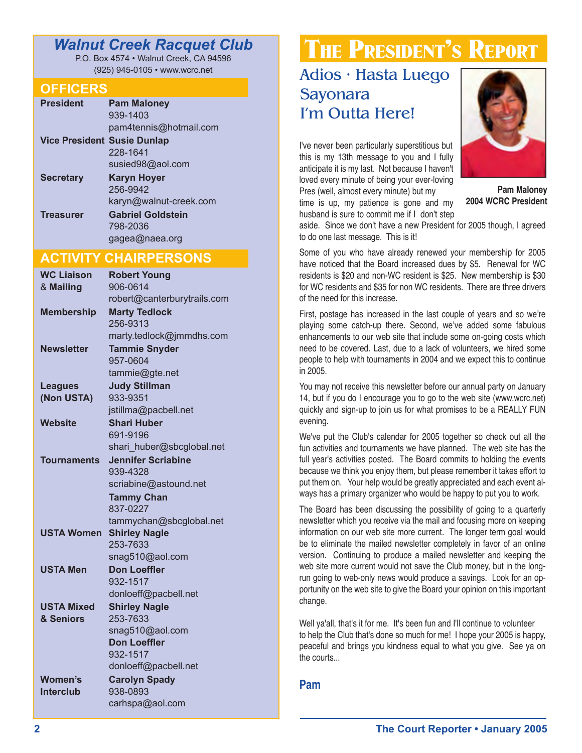# *Walnut Creek Racquet Club*

P.O. Box 4574 • Walnut Creek, CA 94596 (925) 945-0105 • www.wcrc.net

#### **OFFICERS**

| <b>President</b>                   | <b>Pam Maloney</b>       |
|------------------------------------|--------------------------|
|                                    | 939-1403                 |
|                                    | pam4tennis@hotmail.com   |
| <b>Vice President Susie Dunlap</b> |                          |
|                                    | 228-1641                 |
|                                    | susied98@aol.com         |
| <b>Secretary</b>                   | <b>Karyn Hoyer</b>       |
|                                    | 256-9942                 |
|                                    | karyn@walnut-creek.com   |
| <b>Treasurer</b>                   | <b>Gabriel Goldstein</b> |
|                                    | 798-2036                 |
|                                    | gagea@naea.org           |

# **ACTIVITY CHAIRPERSONS**

| <b>WC Liaison</b>  | <b>Robert Young</b>                    |  |  |  |
|--------------------|----------------------------------------|--|--|--|
| & Mailing          | 906-0614                               |  |  |  |
|                    | robert@canterburytrails.com            |  |  |  |
| <b>Membership</b>  | <b>Marty Tedlock</b>                   |  |  |  |
|                    | 256-9313                               |  |  |  |
|                    | marty.tedlock@jmmdhs.com               |  |  |  |
| <b>Newsletter</b>  | <b>Tammie Snyder</b>                   |  |  |  |
|                    | 957-0604                               |  |  |  |
|                    | tammie@gte.net                         |  |  |  |
| <b>Leagues</b>     | <b>Judy Stillman</b>                   |  |  |  |
| (Non USTA)         | 933-9351                               |  |  |  |
|                    | jstillma@pacbell.net                   |  |  |  |
| <b>Website</b>     | <b>Shari Huber</b>                     |  |  |  |
|                    | 691-9196                               |  |  |  |
|                    | shari_huber@sbcglobal.net              |  |  |  |
| <b>Tournaments</b> | <b>Jennifer Scriabine</b>              |  |  |  |
|                    | 939-4328                               |  |  |  |
|                    | scriabine@astound.net                  |  |  |  |
|                    | <b>Tammy Chan</b>                      |  |  |  |
|                    | 837-0227                               |  |  |  |
|                    | tammychan@sbcglobal.net                |  |  |  |
| <b>USTA Women</b>  | <b>Shirley Nagle</b>                   |  |  |  |
|                    | 253-7633                               |  |  |  |
|                    | snag510@aol.com                        |  |  |  |
| <b>USTA Men</b>    | <b>Don Loeffler</b>                    |  |  |  |
|                    | 932-1517                               |  |  |  |
|                    | donloeff@pacbell.net                   |  |  |  |
| <b>USTA Mixed</b>  | <b>Shirley Nagle</b>                   |  |  |  |
| & Seniors          | 253-7633                               |  |  |  |
|                    | snag510@aol.com<br><b>Don Loeffler</b> |  |  |  |
|                    | 932-1517                               |  |  |  |
|                    | donloeff@pacbell.net                   |  |  |  |
| <b>Women's</b>     | <b>Carolyn Spady</b>                   |  |  |  |
| <b>Interclub</b>   | 938-0893                               |  |  |  |
|                    | carhspa@aol.com                        |  |  |  |
|                    |                                        |  |  |  |

# THE PRESIDENT'S REPORT

# Adios • Hasta Luego Sayonara I'm Outta Here!

I've never been particularly superstitious but this is my 13th message to you and I fully anticipate it is my last. Not because I haven't loved every minute of being your ever-loving Pres (well, almost every minute) but my

time is up, my patience is gone and my husband is sure to commit me if I don't step



**Pam Maloney 2004 WCRC President**

aside. Since we don't have a new President for 2005 though, I agreed to do one last message. This is it!

Some of you who have already renewed your membership for 2005 have noticed that the Board increased dues by \$5. Renewal for WC residents is \$20 and non-WC resident is \$25. New membership is \$30 for WC residents and \$35 for non WC residents. There are three drivers of the need for this increase.

First, postage has increased in the last couple of years and so we're playing some catch-up there. Second, we've added some fabulous enhancements to our web site that include some on-going costs which need to be covered. Last, due to a lack of volunteers, we hired some people to help with tournaments in 2004 and we expect this to continue in 2005.

You may not receive this newsletter before our annual party on January 14, but if you do I encourage you to go to the web site (www.wcrc.net) quickly and sign-up to join us for what promises to be a REALLY FUN evening.

We've put the Club's calendar for 2005 together so check out all the fun activities and tournaments we have planned. The web site has the full year's activities posted. The Board commits to holding the events because we think you enjoy them, but please remember it takes effort to put them on. Your help would be greatly appreciated and each event always has a primary organizer who would be happy to put you to work.

The Board has been discussing the possibility of going to a quarterly newsletter which you receive via the mail and focusing more on keeping information on our web site more current. The longer term goal would be to eliminate the mailed newsletter completely in favor of an online version. Continuing to produce a mailed newsletter and keeping the web site more current would not save the Club money, but in the longrun going to web-only news would produce a savings. Look for an opportunity on the web site to give the Board your opinion on this important change.

Well ya'all, that's it for me. It's been fun and I'll continue to volunteer to help the Club that's done so much for me! I hope your 2005 is happy, peaceful and brings you kindness equal to what you give. See ya on the courts...

#### **Pam**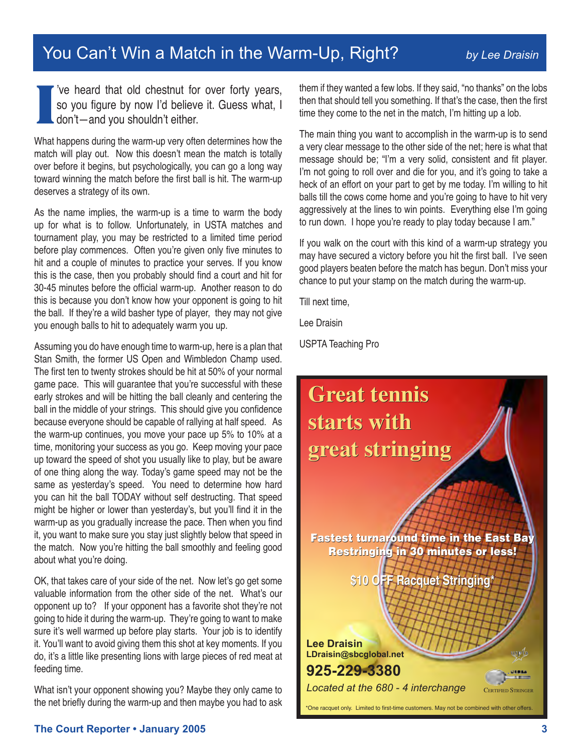# You Can't Win a Match in the Warm-Up, Right? *by Lee Draisin*

**I** 've heard that old chestnut for over forty years, so you figure by now I'd believe it. Guess what, I  $\mathsf{L}$  don't—and you shouldn't either.

What happens during the warm-up very often determines how the match will play out. Now this doesn't mean the match is totally over before it begins, but psychologically, you can go a long way toward winning the match before the first ball is hit. The warm-up deserves a strategy of its own.

As the name implies, the warm-up is a time to warm the body up for what is to follow. Unfortunately, in USTA matches and tournament play, you may be restricted to a limited time period before play commences. Often you're given only five minutes to hit and a couple of minutes to practice your serves. If you know this is the case, then you probably should find a court and hit for 30-45 minutes before the official warm-up. Another reason to do this is because you don't know how your opponent is going to hit the ball. If they're a wild basher type of player, they may not give you enough balls to hit to adequately warm you up.

Assuming you do have enough time to warm-up, here is a plan that Stan Smith, the former US Open and Wimbledon Champ used. The first ten to twenty strokes should be hit at 50% of your normal game pace. This will guarantee that you're successful with these early strokes and will be hitting the ball cleanly and centering the ball in the middle of your strings. This should give you confidence because everyone should be capable of rallying at half speed. As the warm-up continues, you move your pace up 5% to 10% at a time, monitoring your success as you go. Keep moving your pace up toward the speed of shot you usually like to play, but be aware of one thing along the way. Today's game speed may not be the same as yesterday's speed. You need to determine how hard you can hit the ball TODAY without self destructing. That speed might be higher or lower than yesterday's, but you'll find it in the warm-up as you gradually increase the pace. Then when you find it, you want to make sure you stay just slightly below that speed in the match. Now you're hitting the ball smoothly and feeling good about what you're doing.

OK, that takes care of your side of the net. Now let's go get some valuable information from the other side of the net. What's our opponent up to? If your opponent has a favorite shot they're not going to hide it during the warm-up. They're going to want to make sure it's well warmed up before play starts. Your job is to identify it. You'll want to avoid giving them this shot at key moments. If you do, it's a little like presenting lions with large pieces of red meat at feeding time.

What isn't your opponent showing you? Maybe they only came to the net briefly during the warm-up and then maybe you had to ask them if they wanted a few lobs. If they said, "no thanks" on the lobs then that should tell you something. If that's the case, then the first time they come to the net in the match, I'm hitting up a lob.

The main thing you want to accomplish in the warm-up is to send a very clear message to the other side of the net; here is what that message should be; "I'm a very solid, consistent and fit player. I'm not going to roll over and die for you, and it's going to take a heck of an effort on your part to get by me today. I'm willing to hit balls till the cows come home and you're going to have to hit very aggressively at the lines to win points. Everything else I'm going to run down. I hope you're ready to play today because I am."

If you walk on the court with this kind of a warm-up strategy you may have secured a victory before you hit the first ball. I've seen good players beaten before the match has begun. Don't miss your chance to put your stamp on the match during the warm-up.

Till next time,

Lee Draisin

USPTA Teaching Pro

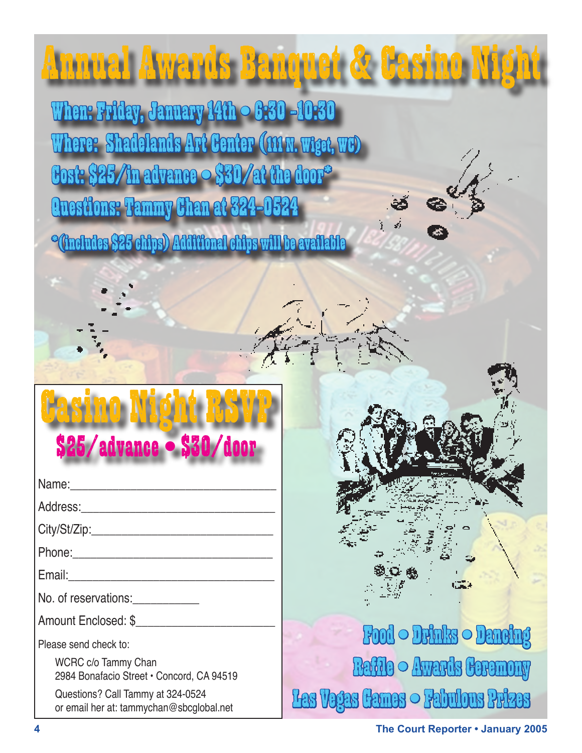#### Annual Awards Banquet & Casino Night

When: Friday, January 14th • 6:30 -10:30 Where: Shadelands Art Center (111 M. Wiget, WC)  ${\color{black} \mathbf{Cost:}} \, \mathbf{\$25/ln}$  advance  $\circ \, \mathbf{\$30/at}$  the door $^{\circ}$ Questions: Tammy Chan at 324-0524

 $^{\circ}$ (includes \$25 chips) Additional chips will be available

# Casino Night RSVP \$25/advance • \$30/door

Name:\_\_\_\_\_\_\_\_\_\_\_\_\_\_\_\_\_\_\_\_\_\_\_\_\_\_\_\_\_\_\_\_\_\_

Address:

City/St/Zip:

Phone:\_\_\_\_\_\_\_\_\_\_\_\_\_\_\_\_\_\_\_\_\_\_\_\_\_\_\_\_\_\_\_\_\_

Email:\_\_\_\_\_\_\_\_\_\_\_\_\_\_\_\_\_\_\_\_\_\_\_\_\_\_\_\_\_\_\_\_\_\_

No. of reservations:

Amount Enclosed: \$

Please send check to:

WCRC c/o Tammy Chan 2984 Bonafacio Street • Concord, CA 94519

Questions? Call Tammy at 324-0524 or email her at: tammychan@sbcglobal.net

# Food • Drinks • Dancing Raffle • Awards Ceremony Las Vegas Cames  $\circ$  Fabulous Prizes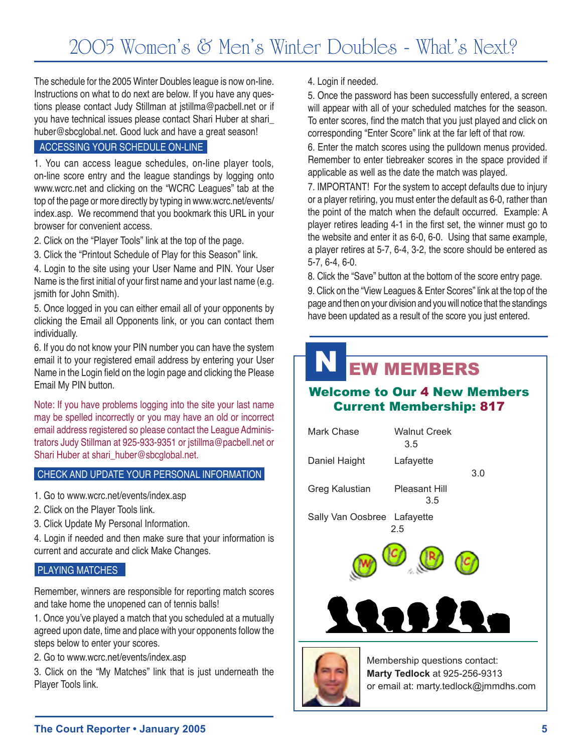The schedule for the 2005 Winter Doubles league is now on-line. Instructions on what to do next are below. If you have any questions please contact Judy Stillman at jstillma@pacbell.net or if you have technical issues please contact Shari Huber at shari\_ huber@sbcglobal.net. Good luck and have a great season!

#### ACCESSING YOUR SCHEDULE ON-LINE

1. You can access league schedules, on-line player tools, on-line score entry and the league standings by logging onto www.wcrc.net and clicking on the "WCRC Leagues" tab at the top of the page or more directly by typing in www.wcrc.net/events/ index.asp. We recommend that you bookmark this URL in your browser for convenient access.

2. Click on the "Player Tools" link at the top of the page.

3. Click the "Printout Schedule of Play for this Season" link.

4. Login to the site using your User Name and PIN. Your User Name is the first initial of your first name and your last name (e.g. jsmith for John Smith).

5. Once logged in you can either email all of your opponents by clicking the Email all Opponents link, or you can contact them individually.

6. If you do not know your PIN number you can have the system email it to your registered email address by entering your User Name in the Login field on the login page and clicking the Please Email My PIN button.

Note: If you have problems logging into the site your last name may be spelled incorrectly or you may have an old or incorrect email address registered so please contact the League Administrators Judy Stillman at 925-933-9351 or jstillma@pacbell.net or Shari Huber at shari\_huber@sbcglobal.net.

#### CHECK AND UPDATE YOUR PERSONAL INFORMATION

1. Go to www.wcrc.net/events/index.asp

- 2. Click on the Player Tools link.
- 3. Click Update My Personal Information.

4. Login if needed and then make sure that your information is current and accurate and click Make Changes.

#### PLAYING MATCHES

Remember, winners are responsible for reporting match scores and take home the unopened can of tennis balls!

1. Once you've played a match that you scheduled at a mutually agreed upon date, time and place with your opponents follow the steps below to enter your scores.

2. Go to www.wcrc.net/events/index.asp

3. Click on the "My Matches" link that is just underneath the Player Tools link.

4. Login if needed.

5. Once the password has been successfully entered, a screen will appear with all of your scheduled matches for the season. To enter scores, find the match that you just played and click on corresponding "Enter Score" link at the far left of that row.

6. Enter the match scores using the pulldown menus provided. Remember to enter tiebreaker scores in the space provided if applicable as well as the date the match was played.

7. IMPORTANT! For the system to accept defaults due to injury or a player retiring, you must enter the default as 6-0, rather than the point of the match when the default occurred. Example: A player retires leading 4-1 in the first set, the winner must go to the website and enter it as 6-0, 6-0. Using that same example, a player retires at 5-7, 6-4, 3-2, the score should be entered as 5-7, 6-4, 6-0.

8. Click the "Save" button at the bottom of the score entry page.

9. Click on the "View Leagues & Enter Scores" link at the top of the page and then on your division and you will notice that the standings have been updated as a result of the score you just entered.

### N EW MEMBERS

#### Welcome to Our 4 New Members Current Membership: 817



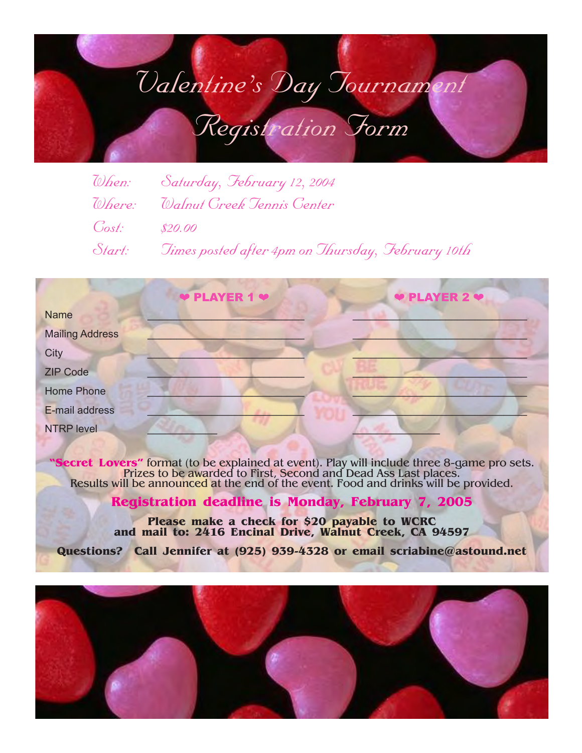# *Valentine's Day Tournament Registration Form*

|                 | When: Saturday, February 12, 2004                        |
|-----------------|----------------------------------------------------------|
|                 | Where: Walnut Greek Jennis Genter                        |
| $Cost:$ \$20.00 |                                                          |
|                 | Start: Jimes posted after 4pm on Thursday, February 10th |

|                        | <b>PLAYER 1 <math>\bullet</math></b> | ♥ PLAYER 2 ♥ |  |
|------------------------|--------------------------------------|--------------|--|
| <b>Name</b>            |                                      |              |  |
| <b>Mailing Address</b> |                                      |              |  |
| City                   |                                      |              |  |
| <b>ZIP Code</b>        |                                      |              |  |
| <b>Home Phone</b>      |                                      |              |  |
| E-mail address         |                                      |              |  |
| <b>NTRP level</b>      |                                      |              |  |
|                        |                                      |              |  |

Secret Lovers" format (to be explained at event). Play will include three 8-game pro sets.<br>Prizes to be awarded to First, Second and Dead Ass Last places.<br>Results will be announced at the end of the event. Food and drinks

**Registration deadline is Monday, February 7, 2005**

**Please make a check for \$20 payable to WCRC and mail to: 2416 Encinal Drive, Walnut Creek, CA 94597**

**Questions? Call Jennifer at (925) 939-4328 or email scriabine@astound.net**

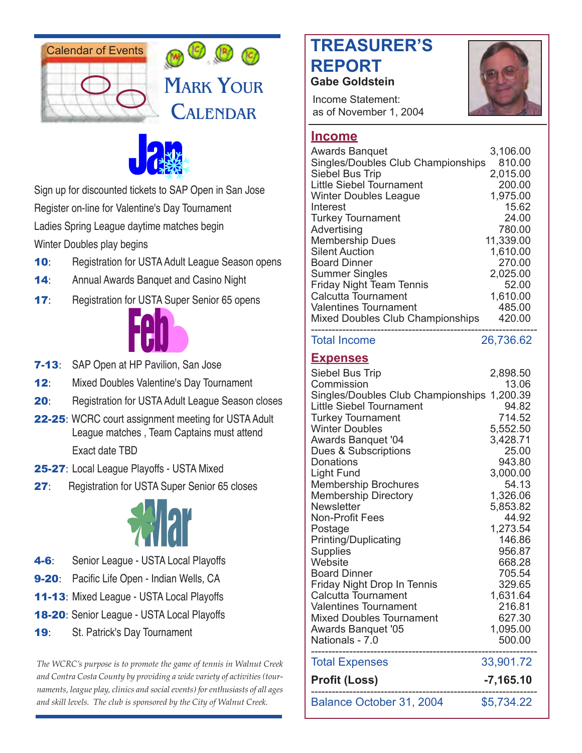





Sign up for discounted tickets to SAP Open in San Jose Register on-line for Valentine's Day Tournament Ladies Spring League daytime matches begin Winter Doubles play begins

- 10: Registration for USTA Adult League Season opens
- 14: Annual Awards Banquet and Casino Night
- **17:** Registration for USTA Super Senior 65 opens



- **7-13:** SAP Open at HP Pavilion, San Jose
- 12: Mixed Doubles Valentine's Day Tournament
- **20:** Registration for USTA Adult League Season closes
- 22-25: WCRC court assignment meeting for USTA Adult League matches , Team Captains must attend Exact date TBD
- 25-27: Local League Playoffs USTA Mixed
- 27: Registration for USTA Super Senior 65 closes



- 4-6: Senior League USTA Local Playoffs
- **9-20:** Pacific Life Open Indian Wells, CA
- 11-13: Mixed League USTA Local Playoffs
- 18-20: Senior League USTA Local Playoffs
- 19: St. Patrick's Day Tournament

*The WCRC's purpose is to promote the game of tennis in Walnut Creek and Contra Costa County by providing a wide variety of activities (tournaments, league play, clinics and social events) for enthusiasts of all ages and skill levels. The club is sponsored by the City of Walnut Creek.*

# **TREASURER'S REPORT Gabe Goldstein**





Non-Profit Fees

Calcutta Tournament

| 3,106.00<br>810.00<br>2,015.00<br>200.00<br>1,975.00<br>15.62<br>24.00<br>780.00<br>11,339.00<br>1,610.00<br>270.00<br>2,025.00<br>52.00<br>1,610.00<br>485.00<br>420.00 |
|--------------------------------------------------------------------------------------------------------------------------------------------------------------------------|
| 26,736.62                                                                                                                                                                |
| 2,898.50                                                                                                                                                                 |
| 13.06                                                                                                                                                                    |
| Singles/Doubles Club Championships<br>1,200.39                                                                                                                           |
| 94.82                                                                                                                                                                    |
| 714.52                                                                                                                                                                   |
| 5,552.50                                                                                                                                                                 |
| 3,428.71                                                                                                                                                                 |
| 25.00                                                                                                                                                                    |
| 943.80                                                                                                                                                                   |
| 3,000.00                                                                                                                                                                 |
| 54.13                                                                                                                                                                    |
| 1,326.06                                                                                                                                                                 |
| 5,853.82<br>44.92                                                                                                                                                        |
|                                                                                                                                                                          |

Postage 1,273.54 Printing/Duplicating 146.86 Supplies 956.87 Website 668.28 Board Dinner 705.54 Friday Night Drop In Tennis 329.65<br>Calcutta Tournament 1.631.64

Valentines Tournament 216.81 Mixed Doubles Tournament 627.30 Awards Banquet '05 1,095.00 Nationals - 7.0 500.00 ----------------------------------------------------------------- Total Expenses 33,901.72 **Profit (Loss) -7,165.10** ----------------------------------------------------------------- Balance October 31, 2004 \$5,734.22